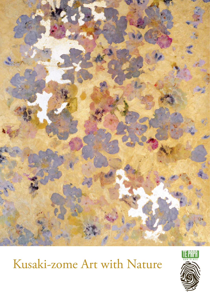

# Kusaki-zome Art with Nature

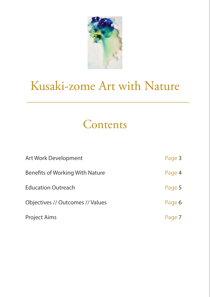

# Kusaki-zome Art with Nature

## Contents

| <b>Art Work Development</b>            | Page 3 |
|----------------------------------------|--------|
| <b>Benefits of Working With Nature</b> | Page 4 |
| <b>Education Outreach</b>              | Page 5 |
| Objectives // Outcomes // Values       | Page 6 |
| <b>Project Aims</b>                    |        |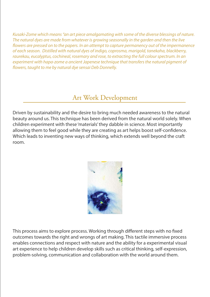Kusaki-Zome which means "an art piece amalgamating with some of the diverse blessings of nature. The natural dyes are made from whatever is growing seasonally in the garden and then the live flowers are pressed on to the papers. In an attempt to capture permanency out of the impermanence of each season. Distilled with natural dyes of indigo, coprosma, marigold, tanekaha, blackberry, raurekau, eucalyptus, cochineal, rosemary and rose, to extracting the full colour spectrum. In an experiment with hapa-zome a ancient Japenese technique that transfers the natural pigment of flowers, taught to me by natural dye sensai Deb Donnelly.

### Art Work Development

Driven by sustainability and the desire to bring much needed awareness to the natural beauty around us. This technique has been derived from the natural world solely. When children experiment with these 'materials' they dabble in science. Most importantly allowing them to feel good while they are creating as art helps boost self-confidence. Which leads to inventing new ways of thinking, which extends well beyond the craft room.



This process aims to explore process. Working through different steps with no fixed outcomes towards the right and wrongs of art making. This tactile immersive process enables connections and respect with nature and the ability for a experimental visual art experience to help children develop skills such as critical thinking, self-expression, problem-solving, communication and collaboration with the world around them.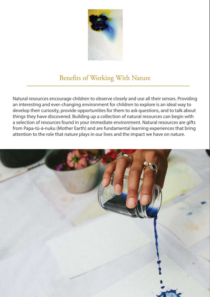

### Benefits of Working With Nature

Natural resources encourage children to observe closely and use all their senses. Providing an interesting and ever-changing environment for children to explore is an ideal way to develop their curiosity, provide opportunities for them to ask questions, and to talk about things they have discovered. Building up a collection of natural resources can begin with a selection of resources found in your immediate environment. Natural resources are gifts from Papa-tū-ā-nuku (Mother Earth) and are fundamental learning experiences that bring attention to the role that nature plays in our lives and the impact we have on nature.

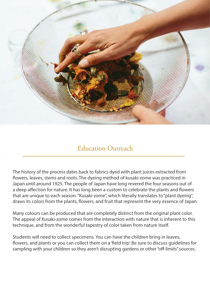

### Education Outreach

The history of the process dates back to fabrics dyed with plant juices extracted from flowers, leaves, stems and roots. The dyeing method of kusaki-zome was practiced in Japan until around 1925. The people of Japan have long revered the four seasons out of a deep affection for nature. It has long been a custom to celebrate the plants and flowers that are unique to each season. "Kusaki-zome", which literally translates to "plant dyeing", draws its colors from the plants, flowers, and fruit that represent the very essence of Japan.

Many colours can be produced that are completely distinct from the original plant color. The appeal of Kusaki-zome comes from the interaction with nature that is inherent to this technique, and from the wonderful tapestry of color taken from nature itself.

Students will need to collect specimens. You can have the children bring in leaves, flowers, and plants or you can collect them on a 'field trip'. Be sure to discuss guidelines for sampling with your children so they aren't disrupting gardens or other "off-limits" sources.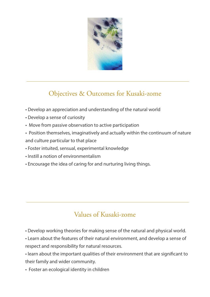

## Objectives & Outcomes for Kusaki-zome

- Develop an appreciation and understanding of the natural world
- Develop a sense of curiosity
- Move from passive observation to active participation
- Position themselves, imaginatively and actually within the continuum of nature and culture particular to that place
- Foster intuited, sensual, experimental knowledge
- Instill a notion of environmentalism
- Encourage the idea of caring for and nurturing living things.

## Values of Kusaki-zome

- Develop working theories for making sense of the natural and physical world.
- Learn about the features of their natural environment, and develop a sense of respect and responsibility for natural resources.
- learn about the important qualities of their environment that are significant to their family and wider community.
- Foster an ecological identity in children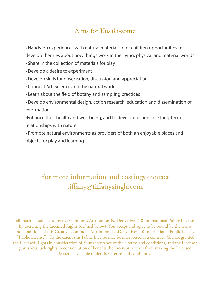### Aims for Kusaki-zome

 • Hands-on experiences with natural materials offer children opportunities to develop theories about how things work in the living, physical and material worlds.

- Share in the collection of materials for play
- Develop a desire to experiment
- Develop skills for observation, discussion and appreciation
- Connect Art, Science and the natural world
- Learn about the field of botany and sampling practices
- Develop environmental design, action research, education and dissemination of information.
- •Enhance their health and well-being, and to develop responsible long-term relationships with nature
- Promote natural environments as providers of both an enjoyable places and objects for play and learning

## For more information and costings contact tiffany@tiffanysingh.com

all materials subject to reative Commons Attribution-NoDerivatives 4.0 International Public License By exercising the Licensed Rights (defined below), You accept and agree to be bound by the terms and conditions of this Creative Commons Attribution-NoDerivatives 4.0 International Public License ("Public License"). To the extent this Public License may be interpreted as a contract, You are granted the Licensed Rights in consideration of Your acceptance of these terms and conditions, and the Licensor grants You such rights in consideration of benefits the Licensor receives from making the Licensed Material available under these terms and conditions.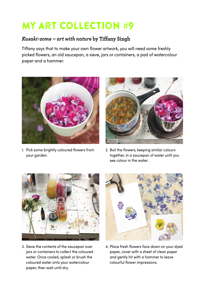## My art collection #9

#### *Kusaki-zome – art with nature* **by Tiffany Singh**

Tiffany says that to make your own flower artwork, you will need some freshly picked flowers, an old saucepan, a sieve, jars or containers, a pad of watercolour paper and a hammer.



1. Pick some brightly coloured flowers from your garden.



2. Boil the flowers, keeping similar colours together, in a saucepan of water until you see colour in the water.



3. Sieve the contents of the saucepan over jars or containers to collect the coloured water. Once cooled, splash or brush the coloured water onto your watercolour paper, then wait until dry.



4. Place fresh flowers face down on your dyed paper, cover with a sheet of clean paper and gently hit with a hammer to leave colourful flower impressions.